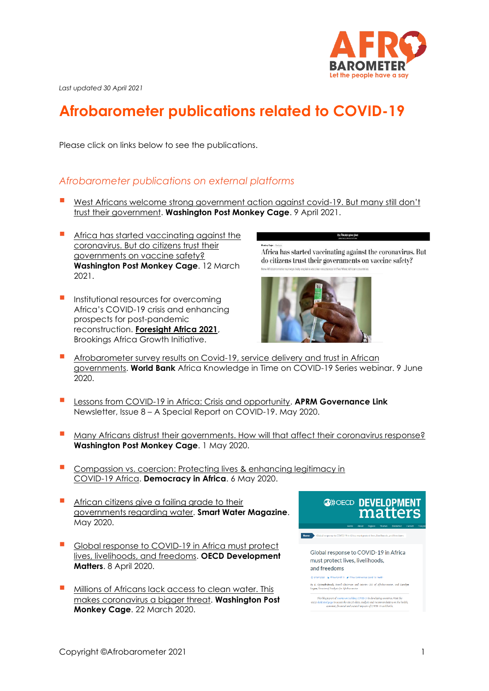

*Last updated 30 April 2021*

# **Afrobarometer publications related to COVID-19**

Please click on links below to see the publications.

## *Afrobarometer publications on external platforms*

- [West Africans welcome strong government action against covid-](https://www.washingtonpost.com/politics/2021/04/09/west-africans-welcome-strong-government-action-against-covid-19-many-still-dont-trust-their-government/)19. But many still don't [trust their government.](https://www.washingtonpost.com/politics/2021/04/09/west-africans-welcome-strong-government-action-against-covid-19-many-still-dont-trust-their-government/) **Washington Post Monkey Cage**. 9 April 2021.
- Africa has started vaccinating against the [coronavirus. But do citizens trust their](https://www.washingtonpost.com/politics/2021/03/12/africa-has-started-vaccinating-against-covid-do-citizens-trust-their-governments-vaccine-safety/)  [governments on vaccine safety?](https://www.washingtonpost.com/politics/2021/03/12/africa-has-started-vaccinating-against-covid-do-citizens-trust-their-governments-vaccine-safety/) **Washington Post Monkey Cage**. 12 March 2021.
- **Institutional resources for overcoming** Africa's COVID-19 crisis and enhancing prospects for post-pandemic reconstruction. **[Foresight Africa 2021](https://www.brookings.edu/research/foresight-africa-2021/)**, Brookings Africa Growth Initiative.

Africa has started vaccinating against the coronavirus. But do citizens trust their governments on vaccine safety?



- Afrobarometer survey results on Covid-19, service delivery and trust in African [governments.](https://www.worldbank.org/en/events/2020/06/09/afrobarometer-survey-results-on-covid-19-service-delivery-and-trust-in-african-governments) **World Bank** Africa Knowledge in Time on COVID-19 Series webinar. 9 June 2020.
- **[Lessons from COVID-19 in Africa: Crisis and opportunity.](https://www.aprm-au.org/wp-content/uploads/2020/05/APRM-GovernanceLink-Newsletter-May-Issue-8.pdf) APRM Governance Link** Newsletter, Issue 8 – A Special Report on COVID-19. May 2020.
- [Many Africans distrust their governments. How will that affect their coronavirus response?](https://www.washingtonpost.com/politics/2020/05/01/many-africans-distrust-their-governments-how-will-that-affect-their-coronavirus-response/?utm_campaign=wp_monkeycage&utm_medium=social&utm_source=twitter) **Washington Post Monkey Cage**. 1 May 2020.
- **Compassion vs. coercion: Protecting lives & enhancing legitimacy in** [COVID-19 Africa.](http://democracyinafrica.org/compassion-vs-coercion-protecting-lives-enhancing-legitimacy-covid-19-africa/) **Democracy in Africa**. 6 May 2020.
- **E** African citizens give a failing grade to their [governments regarding water.](https://smartwatermagazine.com/monthly/1) **Smart Water Magazine**. May 2020.
- Global response to COVID-19 in Africa must protect [lives, livelihoods, and freedoms.](https://oecd-development-matters.org/2020/04/08/global-response-to-covid-19-in-africa-must-protect-lives-livelihoods-and-freedoms/) **OECD Development Matters**. 8 April 2020.
- Millions of Africans lack access to clean water. This [makes coronavirus a bigger threat.](https://www.washingtonpost.com/politics/2020/03/22/millions-africans-lack-access-clean-water-this-makes-coronavirus-bigger-threat/) **Washington Post Monkey Cage**. 22 March 2020.

**@**>>OECD DEVELOPMENT matters Global response to COVID-19 in Africa must protect lives, livelihoods, and freedoms company) 2020 - ac Africa Covid-19 - ac Africa y E. Gy<mark>imah-Boadi,</mark> Board Chairman and interim CEO of Afrobarometer, and <mark>Carolyn</mark><br>agan, Diractor of Analysis for Afrobarometer This blug is part of a series on tackling COVID-19 in developing countries. Visit the delicated page to access the OED's data, analysis and recommendations on the cameraic, financial and sucietal impacts of COVID-19 world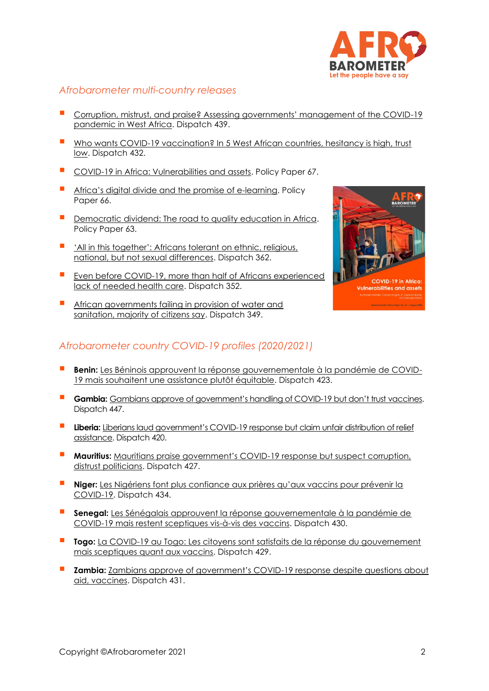

### *Afrobarometer multi-country releases*

- [Corruption, mistrust, and praise? Assessing governments' management of the COVID](https://afrobarometer.org/sites/default/files/publications/Dispatches/ad439-covid_responses_earn_praise_highlight_challenges_for_w_african_govts-afrobarometer-8april21.pdf)-19 [pandemic in West Africa.](https://afrobarometer.org/sites/default/files/publications/Dispatches/ad439-covid_responses_earn_praise_highlight_challenges_for_w_african_govts-afrobarometer-8april21.pdf) Dispatch 439.
- Who wants COVID-19 vaccination? In 5 West African countries, hesitancy is high, trust [low.](https://afrobarometer.org/sites/default/files/publications/Dispatches/ad432-covid-19_vaccine_hesitancy_high_trust_low_in_west_africa-afrobarometer-9march21.pdf) Dispatch 432.
- [COVID-19 in Africa: Vulnerabilities and assets.](http://afrobarometer.org/publications/pp67-covid-19-africa-vulnerabilities-and-assets-effective-response) Policy Paper 67.
- [Africa's digital divide and the promise of e](http://afrobarometer.org/sites/default/files/publications/Policy%20papers/pp66-africas_digital_divide_and_the_promise_of_e-learning-afrobarometer_policy_paper-14june20.pdf)-learning. Policy Paper 66.
- [Democratic dividend: The road to quality education in Africa.](http://afrobarometer.org/sites/default/files/publications/Documents%20de%20politiques/ab_r7_policypaper63_pap16_road_to_quality_education_in_africa.pdf) Policy Paper 63.
- 'All in this together': Africans tolerant on ethnic, religious, [national, but not sexual differences.](http://afrobarometer.org/publications/ad362-all-together-africans-tolerant-ethnic-religious-national-not-sexual-differences) Dispatch 362.
- Even before COVID-19, more than half of Africans experienced [lack of needed health care.](http://afrobarometer.org/publications/ad352-even-covid-19-more-half-africans-experienced-lack-needed-health-care) Dispatch 352.
- **E** African governments failing in provision of water and [sanitation, majority of citizens say.](http://afrobarometer.org/publications/ad349-african-governments-failing-provision-water-and-sanitation-majority-citizens-say) Dispatch 349.



# *Afrobarometer country COVID-19 profiles (2020/2021)*

- **E Benin:** [Les Béninois approuvent la réponse gouvernementale à la pandémie de COVID-](https://afrobarometer.org/sites/default/files/publications/Dispatches/ad423-lexperiences_de_la_covid-19_au_benin-afrobarometer-2feb21_2.pdf)[19 mais souhaitent une assistance plutôt équitable.](https://afrobarometer.org/sites/default/files/publications/Dispatches/ad423-lexperiences_de_la_covid-19_au_benin-afrobarometer-2feb21_2.pdf) Dispatch 423.
- **E** Gambia: [Gambians approve of government's handling of COVID](https://afrobarometer.org/sites/default/files/publications/Dispatches/ad447-gambians_approve_of_governments_covid-19_response_but_dont_trust_vaccines-afrobarometer_dispatch-27april21.pdf)-19 but don't trust vaccines. Dispatch 447.
- **Liberia:** Liberians laud government's COVID-19 response but claim unfair distribution of relief [assistance.](https://afrobarometer.org/sites/default/files/publications/Dispatches/ad420-covid-19_in_liberia-afrobarometer_dispatch-20jan21.pdf) Dispatch 420.
- **Mauritius:** [Mauritians praise government's COVID](https://afrobarometer.org/sites/default/files/publications/D%C3%A9p%C3%AAches/ad427-mauritians_praise_covid-19_response-afrobarometer_dispatch-19feb21.pdf)-19 response but suspect corruption, [distrust politicians.](https://afrobarometer.org/sites/default/files/publications/D%C3%A9p%C3%AAches/ad427-mauritians_praise_covid-19_response-afrobarometer_dispatch-19feb21.pdf) Dispatch 427.
- Niger: Les Nigériens font plus confiance aux prières qu'aux vaccins pour prévenir la [COVID-19.](https://afrobarometer.org/sites/default/files/publications/Dispatches/ad434-nigeriens_font_plus_confiance_aux_prieres_quaux_vaccins_anti-covid-19-depeche_afrobarometer-20mars21.pdf) Dispatch 434.
- **Senegal:** [Les Sénégalais approuvent la réponse gouvernementale à la pandémie de](https://afrobarometer.org/sites/default/files/publications/Dispatches/ad430-les_senegalais_sont_sceptiques_envers_les_vaccins_de_covid-19-depeche_afrobarometer-5mars21.pdf)  [COVID-19 mais restent sceptiques vis-à-vis des vaccins.](https://afrobarometer.org/sites/default/files/publications/Dispatches/ad430-les_senegalais_sont_sceptiques_envers_les_vaccins_de_covid-19-depeche_afrobarometer-5mars21.pdf) Dispatch 430.
- **Togo:** [La COVID-19 au Togo: Les citoyens sont satisfaits de la réponse du gouvernement](https://afrobarometer.org/sites/default/files/publications/Joint/partner%20publications/ad429-togolais_satisfaits_de_la_reponse_du_gouvernement_a_la_covid-19-depeche_afrobarometer-2mars21.pdf)  [mais sceptiques quant aux vaccins.](https://afrobarometer.org/sites/default/files/publications/Joint/partner%20publications/ad429-togolais_satisfaits_de_la_reponse_du_gouvernement_a_la_covid-19-depeche_afrobarometer-2mars21.pdf) Dispatch 429.
- **Zambia:** [Zambians approve of government's COVID](https://afrobarometer.org/sites/default/files/publications/Dispatches/ad431-zambians_approve_of_covid-19_response_despite_questions_on_aid_vaccines-afrobarometer_dispatch-5march21.pdf)-19 response despite questions about [aid, vaccines.](https://afrobarometer.org/sites/default/files/publications/Dispatches/ad431-zambians_approve_of_covid-19_response_despite_questions_on_aid_vaccines-afrobarometer_dispatch-5march21.pdf) Dispatch 431.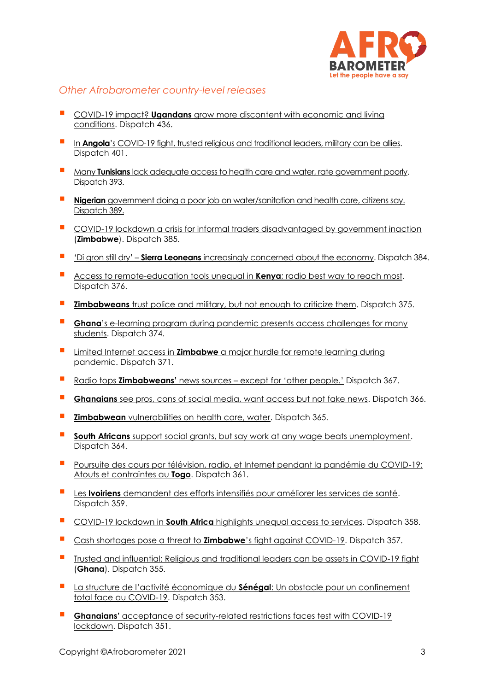

## *Other Afrobarometer country-level releases*

- COVID-19 impact? **Ugandans** grow more discontent with economic and living [conditions.](https://afrobarometer.org/sites/default/files/publications/Dispatches/ad436-ugandans_grow_more_discontent_with_economic_conditions-afrobarometer-27march21.pdf) Dispatch 436.
- In **Angola**'s COVID[-19 fight, trusted religious and traditional leaders, military can be allies.](http://afrobarometer.org/sites/default/files/publications/Dispatches/ad401-trusted_leaders_can_help_in_angola_covid-19_fight-afrobarometer_dispatch-23oct20_0.pdf) Dispatch 401.
- Many **Tunisians** lack adequate access to health [care and water, rate government poorly.](http://afrobarometer.org/sites/default/files/publications/Dispatches/ad393-many_tunisians_lack_adequate_access_to_water_and_health_care-22sept20.pdf) Dispatch 393.
- **E** Nigerian [government doing a poor job on water/sanitation and health care, citizens say.](http://afrobarometer.org/sites/default/files/publications/Dispatches/ad389-nigerian_government_doing_a_poor_job_on_water-sanitation_and_health_care-afrobarometer_dispatch-9sept20.pdf) Dispatch 389.
- [COVID-19 lockdown a crisis for informal traders disadvantaged by government inaction](http://afrobarometer.org/sites/default/files/publications/Dispatches/ad385-zimbabwes_covid-19_lockdown_a_crisis_for_informal_traders-afrobarometer-19aug20.pdf) (**Zimbabwe**). Dispatch 385.
- 'Di gron still dry' **Sierra Leoneans** [increasingly concerned about the economy.](http://afrobarometer.org/sites/default/files/publications/Dispatches/ad384-sierra_leoneans_increasingly_concerned_about_the_economy-afrobarometer_dispatch-19aug20.pdf) Dispatch 384.
- [Access to remote-education tools unequal in](http://afrobarometer.org/sites/default/files/publications/Dispatches/ab_r8_dispatchno376_barriers_to_elearning_in_kenya.pdf) **Kenya**; radio best way to reach most. Dispatch 376.
- **E** Zimbabweans [trust police and military, but not enough to criticize them.](http://afrobarometer.org/sites/default/files/publications/Dispatches/ad375-zimbabwe_law_enforcement_during_covid-19_pandemic-afrobarometer_dispatch-18july20.pdf) Dispatch 375.
- **Ghana**'s e-learning program during pandemic presents access challenges for many [students.](http://afrobarometer.org/sites/default/files/publications/D%C3%A9p%C3%AAches/ab_r8_dispatchno374_access_to_virtual_learning_platforms_in_ghana.pdf) Dispatch 374.
- **E** Limited Internet access in **Zimbabwe** a major hurdle for remote learning during [pandemic.](http://afrobarometer.org/sites/default/files/publications/D%C3%A9p%C3%AAches/ab_r7_dispatchno371_hurdles_for_remote_learning_during_pandemic_in_zimbabwe.pdf) Dispatch 371.
- Radio tops **Zimbabweans'** news sources [except for 'other people.'](http://afrobarometer.org/sites/default/files/publications/Dispatches/ad367-crisis_communication_in_zimbabwe-afrobarometer-15june20.pdf) Dispatch 367.
- **Ghanaians** [see pros, cons of social media, want access but not fake news.](http://afrobarometer.org/sites/default/files/publications/Dispatches/ad366-fake_news_and_social_media_in_ghana-7june20.pdf) Dispatch 366.
- **E Zimbabwean** [vulnerabilities on health care, water.](http://afrobarometer.org/sites/default/files/publications/Dispatches/ad365-zimbabwean_vulnerabilities_on_health_care_water-afrobarometer-5june20.pdf) Dispatch 365.
- **E** South Africans [support social grants, but say work at any wage beats unemployment.](http://afrobarometer.org/publications/ad364-south-africans-support-social-grants-say-work-any-wage-beats-unemployment) Dispatch 364.
- Poursuite des cours par télévision, radio, et Internet pendant la pandémie du COVID-19: [Atouts et contraintes au](http://afrobarometer.org/publications/ad361-poursuite-des-cours-par-television-radio-et-internet-pendant-la-pandemie-du-covid) **Togo**. Dispatch 361.
- Les **Ivoiriens** [demandent des efforts intensifiés pour améliorer les services de santé.](http://afrobarometer.org/publications/ad359-les-ivoiriens-demandent-des-efforts-intensifies-pour-ameliorer-les-services-de) Dispatch 359.
- COVID-19 lockdown in **South Africa** [highlights unequal access to services.](http://afrobarometer.org/publications/ad358-covid-19-lockdown-south-africa-highlights-unequal-access-services) Dispatch 358.
- [Cash shortages pose a threat to](http://afrobarometer.org/publications/ad357-cash-shortages-pose-threat-zimbabwes-fight-against-covid-19) **Zimbabwe**'s fight against COVID-19. Dispatch 357.
- **•** [Trusted and influential: Religious and traditional leaders can be assets in COVID-19 fight](http://afrobarometer.org/publications/ad355-trusted-and-influential-religious-and-traditional-leaders-can-be-assets-covid-19) (**Ghana**). Dispatch 355.
- [La structure de l'activité économique du](http://afrobarometer.org/publications/ad353-la-structure-de-lactivite-economique-du-senegal-un-obstacle-pour-un-confinement) **Sénégal**: Un obstacle pour un confinement [total face au COVID-19.](http://afrobarometer.org/publications/ad353-la-structure-de-lactivite-economique-du-senegal-un-obstacle-pour-un-confinement) Dispatch 353.
- **Ghanaians'** acceptance of security-related restrictions faces test with COVID-19 [lockdown.](http://afrobarometer.org/publications/ad351-ghanaians-acceptance-security-related-restrictions-faces-test-covid-19-lockdown) Dispatch 351.